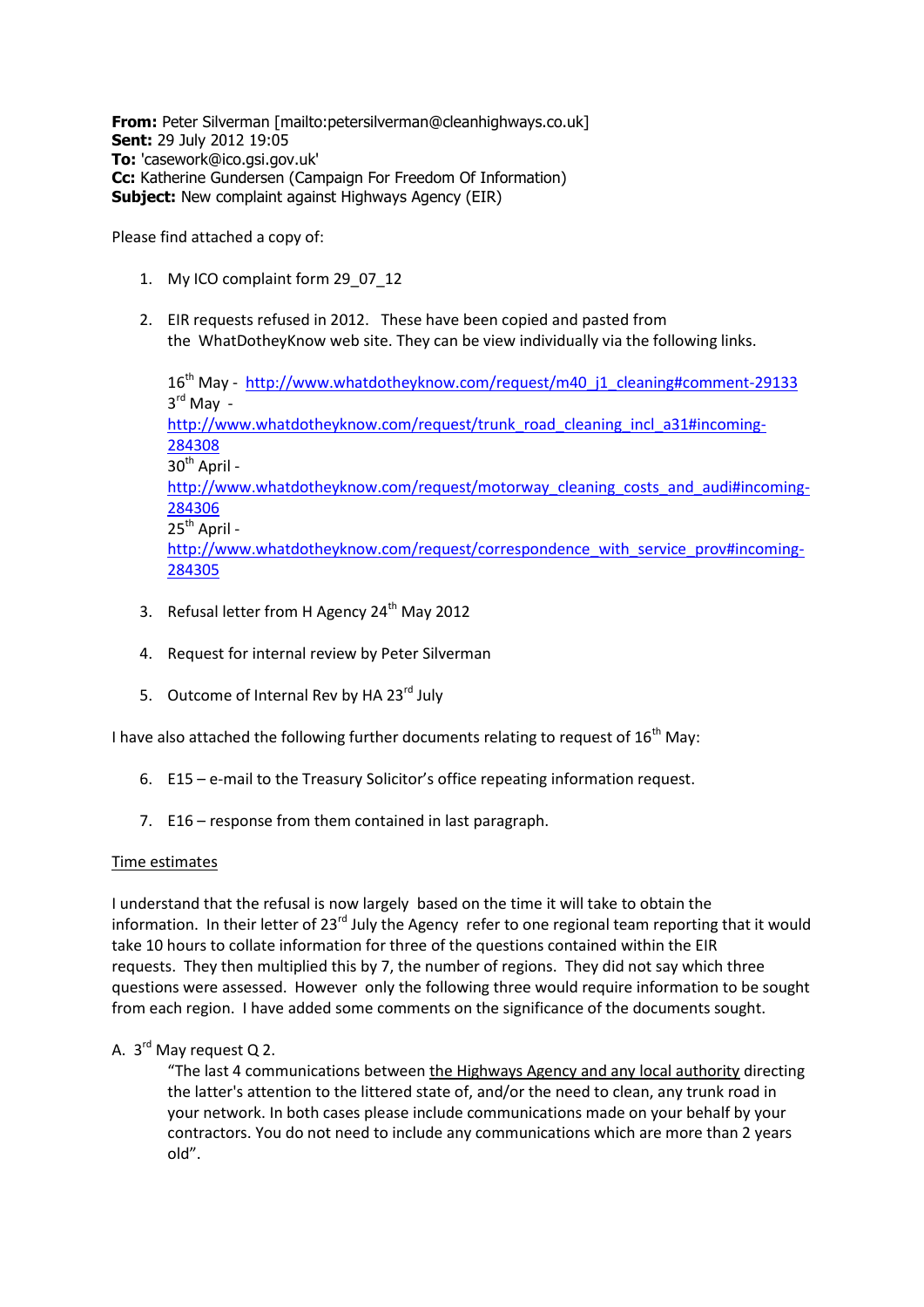**From:** Peter Silverman [mailto:petersilverman@cleanhighways.co.uk] **Sent:** 29 July 2012 19:05 **To:** 'casework@ico.gsi.gov.uk' **Cc:** Katherine Gundersen (Campaign For Freedom Of Information) **Subject:** New complaint against Highways Agency (EIR)

Please find attached a copy of:

- 1. My ICO complaint form 29\_07\_12
- 2. EIR requests refused in 2012. These have been copied and pasted from the WhatDotheyKnow web site. They can be view individually via the following links.

16<sup>th</sup> May - [http://www.whatdotheyknow.com/request/m40\\_j1\\_cleaning#comment-29133](http://www.whatdotheyknow.com/request/m40_j1_cleaning#comment-29133) 3 rd May [http://www.whatdotheyknow.com/request/trunk\\_road\\_cleaning\\_incl\\_a31#incoming-](http://www.whatdotheyknow.com/request/trunk_road_cleaning_incl_a31#incoming-284308)[284308](http://www.whatdotheyknow.com/request/trunk_road_cleaning_incl_a31#incoming-284308)  $30^{th}$  April [http://www.whatdotheyknow.com/request/motorway\\_cleaning\\_costs\\_and\\_audi#incoming-](http://www.whatdotheyknow.com/request/motorway_cleaning_costs_and_audi#incoming-284306)[284306](http://www.whatdotheyknow.com/request/motorway_cleaning_costs_and_audi#incoming-284306)  $25^{th}$  April [http://www.whatdotheyknow.com/request/correspondence\\_with\\_service\\_prov#incoming-](http://www.whatdotheyknow.com/request/correspondence_with_service_prov#incoming-284305)[284305](http://www.whatdotheyknow.com/request/correspondence_with_service_prov#incoming-284305)

- 3. Refusal letter from H Agency 24<sup>th</sup> May 2012
- 4. Request for internal review by Peter Silverman
- 5. Outcome of Internal Rev by HA 23<sup>rd</sup> July

I have also attached the following further documents relating to request of  $16<sup>th</sup>$  May:

- 6. E15 e-mail to the Treasury Solicitor's office repeating information request.
- 7. E16 response from them contained in last paragraph.

#### Time estimates

I understand that the refusal is now largely based on the time it will take to obtain the information. In their letter of 23<sup>rd</sup> July the Agency refer to one regional team reporting that it would take 10 hours to collate information for three of the questions contained within the EIR requests. They then multiplied this by 7, the number of regions. They did not say which three questions were assessed. However only the following three would require information to be sought from each region. I have added some comments on the significance of the documents sought.

## A. 3<sup>rd</sup> May request Q 2.

"The last 4 communications between the Highways Agency and any local authority directing the latter's attention to the littered state of, and/or the need to clean, any trunk road in your network. In both cases please include communications made on your behalf by your contractors. You do not need to include any communications which are more than 2 years old".